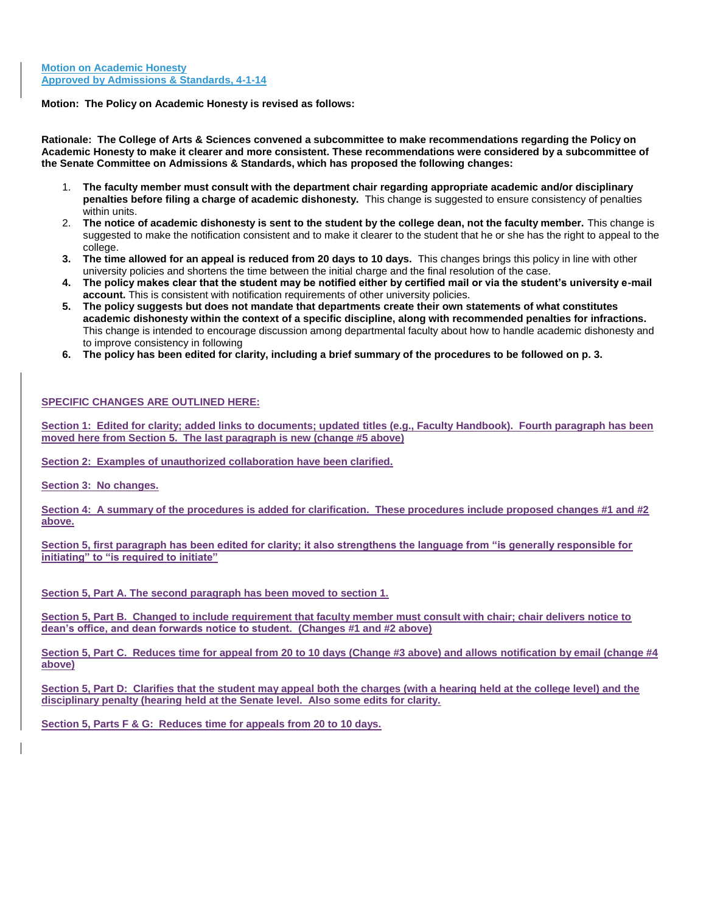#### **Motion: The Policy on Academic Honesty is revised as follows:**

**Rationale: The College of Arts & Sciences convened a subcommittee to make recommendations regarding the Policy on Academic Honesty to make it clearer and more consistent. These recommendations were considered by a subcommittee of the Senate Committee on Admissions & Standards, which has proposed the following changes:** 

- 1. **The faculty member must consult with the department chair regarding appropriate academic and/or disciplinary penalties before filing a charge of academic dishonesty.** This change is suggested to ensure consistency of penalties within units.
- 2. **The notice of academic dishonesty is sent to the student by the college dean, not the faculty member.** This change is suggested to make the notification consistent and to make it clearer to the student that he or she has the right to appeal to the college.
- **3. The time allowed for an appeal is reduced from 20 days to 10 days.** This changes brings this policy in line with other university policies and shortens the time between the initial charge and the final resolution of the case.
- **4. The policy makes clear that the student may be notified either by certified mail or via the student's university e-mail account.** This is consistent with notification requirements of other university policies.
- **5. The policy suggests but does not mandate that departments create their own statements of what constitutes academic dishonesty within the context of a specific discipline, along with recommended penalties for infractions.**  This change is intended to encourage discussion among departmental faculty about how to handle academic dishonesty and to improve consistency in following
- **6. The policy has been edited for clarity, including a brief summary of the procedures to be followed on p. 3.**

#### **SPECIFIC CHANGES ARE OUTLINED HERE:**

**Section 1: Edited for clarity; added links to documents; updated titles (e.g., Faculty Handbook). Fourth paragraph has been moved here from Section 5. The last paragraph is new (change #5 above)** 

**Section 2: Examples of unauthorized collaboration have been clarified.** 

**Section 3: No changes.** 

**Section 4: A summary of the procedures is added for clarification. These procedures include proposed changes #1 and #2 above.** 

**Section 5, first paragraph has been edited for clarity; it also strengthens the language from "is generally responsible for initiating" to "is required to initiate"** 

**Section 5, Part A. The second paragraph has been moved to section 1.** 

**Section 5, Part B. Changed to include requirement that faculty member must consult with chair; chair delivers notice to dean's office, and dean forwards notice to student. (Changes #1 and #2 above)** 

**Section 5, Part C. Reduces time for appeal from 20 to 10 days (Change #3 above) and allows notification by email (change #4 above)** 

**Section 5, Part D: Clarifies that the student may appeal both the charges (with a hearing held at the college level) and the disciplinary penalty (hearing held at the Senate level. Also some edits for clarity.** 

**Section 5, Parts F & G: Reduces time for appeals from 20 to 10 days.**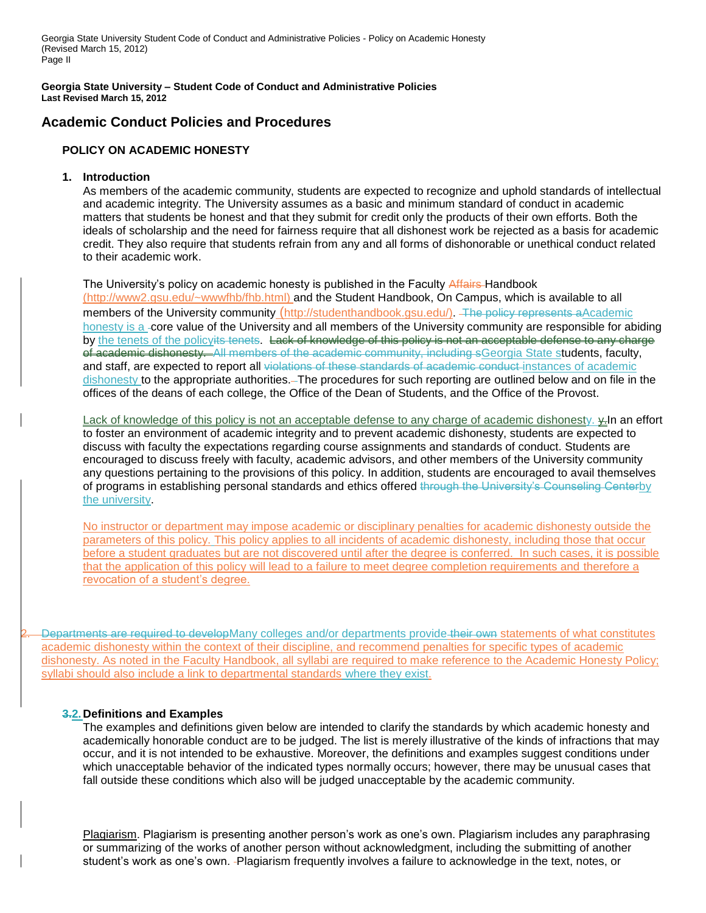Georgia State University Student Code of Conduct and Administrative Policies - Policy on Academic Honesty (Revised March 15, 2012) Page II

**Georgia State University – Student Code of Conduct and Administrative Policies Last Revised March 15, 2012**

# **Academic Conduct Policies and Procedures**

# **POLICY ON ACADEMIC HONESTY**

### **1. Introduction**

As members of the academic community, students are expected to recognize and uphold standards of intellectual and academic integrity. The University assumes as a basic and minimum standard of conduct in academic matters that students be honest and that they submit for credit only the products of their own efforts. Both the ideals of scholarship and the need for fairness require that all dishonest work be rejected as a basis for academic credit. They also require that students refrain from any and all forms of dishonorable or unethical conduct related to their academic work.

The University's policy on academic honesty is published in the Faculty Affairs-Handbook [\(http://www2.gsu.edu/~wwwfhb/fhb.html\)](http://www2.gsu.edu/~wwwfhb/fhb.html) and the Student Handbook, On Campus, which is available to all members of the University community (http://studenthandbook.gsu.edu/). The policy represents aAcademic honesty is a -core value of the University and all members of the University community are responsible for abiding by the tenets of the policyits tenets. Lack of knowledge of this policy is not an acceptable defense to any charge of academic dishonesty. All members of the academic community, including sGeorgia State students, faculty, and staff, are expected to report all violations of these standards of academic conduct instances of academic dishonesty to the appropriate authorities. The procedures for such reporting are outlined below and on file in the offices of the deans of each college, the Office of the Dean of Students, and the Office of the Provost.

Lack of knowledge of this policy is not an acceptable defense to any charge of academic dishonesty.  $\frac{1}{2}$ In an effort to foster an environment of academic integrity and to prevent academic dishonesty, students are expected to discuss with faculty the expectations regarding course assignments and standards of conduct. Students are encouraged to discuss freely with faculty, academic advisors, and other members of the University community any questions pertaining to the provisions of this policy. In addition, students are encouraged to avail themselves of programs in establishing personal standards and ethics offered through the University's Counseling Centerby the university.

No instructor or department may impose academic or disciplinary penalties for academic dishonesty outside the parameters of this policy. This policy applies to all incidents of academic dishonesty, including those that occur before a student graduates but are not discovered until after the degree is conferred. In such cases, it is possible that the application of this policy will lead to a failure to meet degree completion requirements and therefore a revocation of a student's degree.

Departments are required to developMany colleges and/or departments provide their own statements of what constitutes academic dishonesty within the context of their discipline, and recommend penalties for specific types of academic dishonesty. As noted in the Faculty Handbook, all syllabi are required to make reference to the Academic Honesty Policy; syllabi should also include a link to departmental standards where they exist.

# **3.2.Definitions and Examples**

The examples and definitions given below are intended to clarify the standards by which academic honesty and academically honorable conduct are to be judged. The list is merely illustrative of the kinds of infractions that may occur, and it is not intended to be exhaustive. Moreover, the definitions and examples suggest conditions under which unacceptable behavior of the indicated types normally occurs; however, there may be unusual cases that fall outside these conditions which also will be judged unacceptable by the academic community.

*<sup>U</sup>*Plagiarism*U*. Plagiarism is presenting another person's work as one's own. Plagiarism includes any paraphrasing or summarizing of the works of another person without acknowledgment, including the submitting of another student's work as one's own. Plagiarism frequently involves a failure to acknowledge in the text, notes, or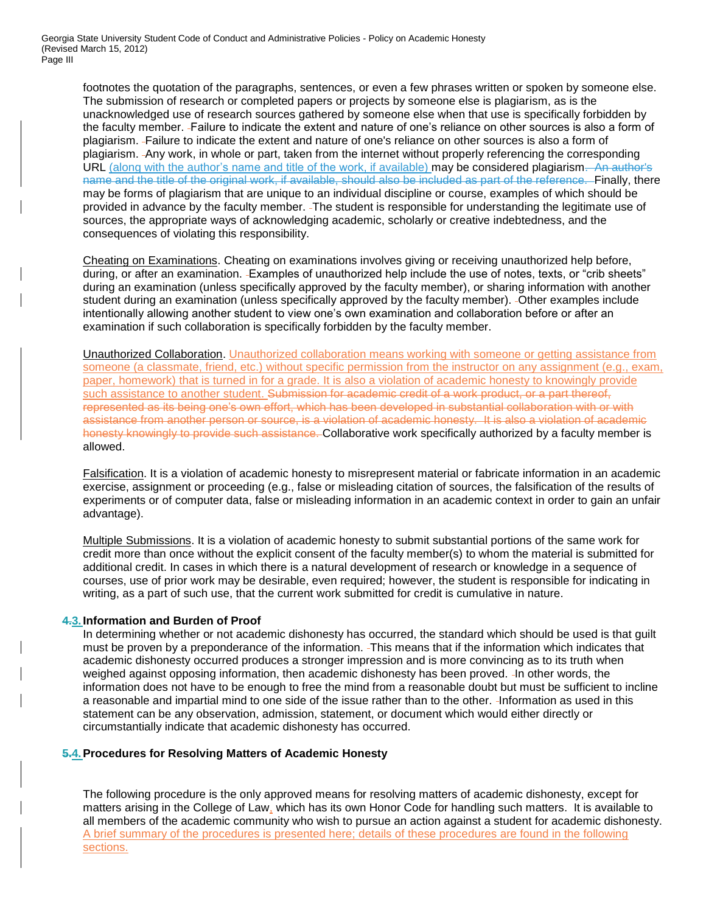footnotes the quotation of the paragraphs, sentences, or even a few phrases written or spoken by someone else. The submission of research or completed papers or projects by someone else is plagiarism, as is the unacknowledged use of research sources gathered by someone else when that use is specifically forbidden by the faculty member. Failure to indicate the extent and nature of one's reliance on other sources is also a form of plagiarism. Failure to indicate the extent and nature of one's reliance on other sources is also a form of plagiarism. Any work, in whole or part, taken from the internet without properly referencing the corresponding URL (along with the author's name and title of the work, if available) may be considered plagiarism. An author's name and the title of the original work, if available, should also be included as part of the reference. Finally, there may be forms of plagiarism that are unique to an individual discipline or course, examples of which should be provided in advance by the faculty member. The student is responsible for understanding the legitimate use of sources, the appropriate ways of acknowledging academic, scholarly or creative indebtedness, and the consequences of violating this responsibility.

*Cheating on Examinations*. Cheating on examinations involves giving or receiving unauthorized help before, during, or after an examination. -Examples of unauthorized help include the use of notes, texts, or "crib sheets" during an examination (unless specifically approved by the faculty member), or sharing information with another student during an examination (unless specifically approved by the faculty member). Other examples include intentionally allowing another student to view one's own examination and collaboration before or after an examination if such collaboration is specifically forbidden by the faculty member.

**Unauthorized Collaboration**. Unauthorized collaboration means working with someone or getting assistance from someone (a classmate, friend, etc.) without specific permission from the instructor on any assignment (e.g., exam, paper, homework) that is turned in for a grade. It is also a violation of academic honesty to knowingly provide such assistance to another student. Submission for academic credit of a work product, or a part thereof, represented as its being one's own effort, which has been developed in substantial collaboration with or with assistance from another person or source, is a violation of academic honesty. It is also a violation of academic honesty knowingly to provide such assistance. Collaborative work specifically authorized by a faculty member is allowed.

Falsification. It is a violation of academic honesty to misrepresent material or fabricate information in an academic exercise, assignment or proceeding (e.g., false or misleading citation of sources, the falsification of the results of experiments or of computer data, false or misleading information in an academic context in order to gain an unfair advantage).

*Multiple Submissions. It is a violation of academic honesty to submit substantial portions of the same work for* credit more than once without the explicit consent of the faculty member(s) to whom the material is submitted for additional credit. In cases in which there is a natural development of research or knowledge in a sequence of courses, use of prior work may be desirable, even required; however, the student is responsible for indicating in writing, as a part of such use, that the current work submitted for credit is cumulative in nature.

# **4.3. Information and Burden of Proof**

In determining whether or not academic dishonesty has occurred, the standard which should be used is that guilt must be proven by a preponderance of the information. This means that if the information which indicates that academic dishonesty occurred produces a stronger impression and is more convincing as to its truth when weighed against opposing information, then academic dishonesty has been proved. In other words, the information does not have to be enough to free the mind from a reasonable doubt but must be sufficient to incline a reasonable and impartial mind to one side of the issue rather than to the other. Information as used in this statement can be any observation, admission, statement, or document which would either directly or circumstantially indicate that academic dishonesty has occurred.

### **5.4.Procedures for Resolving Matters of Academic Honesty**

The following procedure is the only approved means for resolving matters of academic dishonesty, except for matters arising in the College of Law, which has its own Honor Code for handling such matters. It is available to all members of the academic community who wish to pursue an action against a student for academic dishonesty. A brief summary of the procedures is presented here; details of these procedures are found in the following sections.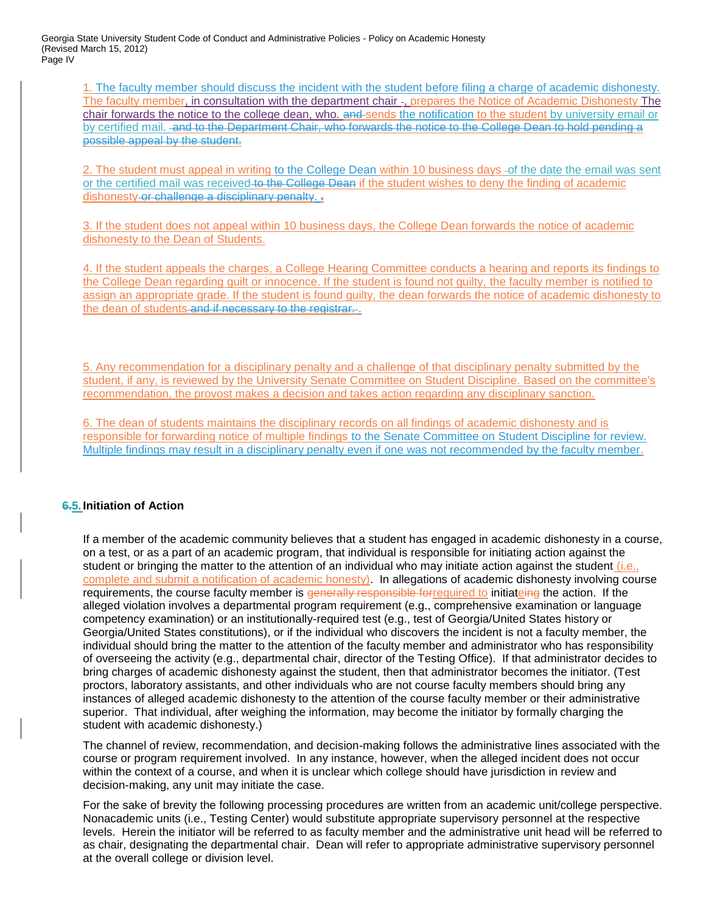Georgia State University Student Code of Conduct and Administrative Policies - Policy on Academic Honesty (Revised March 15, 2012) Page IV

1. The faculty member should discuss the incident with the student before filing a charge of academic dishonesty. The faculty member, in consultation with the department chair -, prepares the Notice of Academic Dishonesty The chair forwards the notice to the college dean, who. and sends the notification to the student by university email or by certified mail. -and to the Department Chair, who forwards the notice to the College Dean to hold pending a possible appeal by the student.

2. The student must appeal in writing to the College Dean within 10 business days -of the date the email was sent or the certified mail was received to the College Dean if the student wishes to deny the finding of academic dishonesty or challenge a disciplinary penalty. .

3. If the student does not appeal within 10 business days, the College Dean forwards the notice of academic dishonesty to the Dean of Students.

4. If the student appeals the charges, a College Hearing Committee conducts a hearing and reports its findings to the College Dean regarding guilt or innocence. If the student is found not guilty, the faculty member is notified to assign an appropriate grade. If the student is found guilty, the dean forwards the notice of academic dishonesty to the dean of students and if necessary to the registrar...

5. Any recommendation for a disciplinary penalty and a challenge of that disciplinary penalty submitted by the student, if any, is reviewed by the University Senate Committee on Student Discipline. Based on the committee's recommendation, the provost makes a decision and takes action regarding any disciplinary sanction.

6. The dean of students maintains the disciplinary records on all findings of academic dishonesty and is responsible for forwarding notice of multiple findings to the Senate Committee on Student Discipline for review. Multiple findings may result in a disciplinary penalty even if one was not recommended by the faculty member.

# **6.5. Initiation of Action**

If a member of the academic community believes that a student has engaged in academic dishonesty in a course, on a test, or as a part of an academic program, that individual is responsible for initiating action against the student or bringing the matter to the attention of an individual who may initiate action against the student (i.e., complete and submit a notification of academic honesty). In allegations of academic dishonesty involving course requirements, the course faculty member is generally responsible forrequired to initiateing the action. If the alleged violation involves a departmental program requirement (e.g., comprehensive examination or language competency examination) or an institutionally-required test (e.g., test of Georgia/United States history or Georgia/United States constitutions), or if the individual who discovers the incident is not a faculty member, the individual should bring the matter to the attention of the faculty member and administrator who has responsibility of overseeing the activity (e.g., departmental chair, director of the Testing Office). If that administrator decides to bring charges of academic dishonesty against the student, then that administrator becomes the initiator. (Test proctors, laboratory assistants, and other individuals who are not course faculty members should bring any instances of alleged academic dishonesty to the attention of the course faculty member or their administrative superior. That individual, after weighing the information, may become the initiator by formally charging the student with academic dishonesty.)

The channel of review, recommendation, and decision-making follows the administrative lines associated with the course or program requirement involved. In any instance, however, when the alleged incident does not occur within the context of a course, and when it is unclear which college should have jurisdiction in review and decision-making, any unit may initiate the case.

For the sake of brevity the following processing procedures are written from an academic unit/college perspective. Nonacademic units (i.e., Testing Center) would substitute appropriate supervisory personnel at the respective levels. Herein the initiator will be referred to as faculty member and the administrative unit head will be referred to as chair, designating the departmental chair. Dean will refer to appropriate administrative supervisory personnel at the overall college or division level.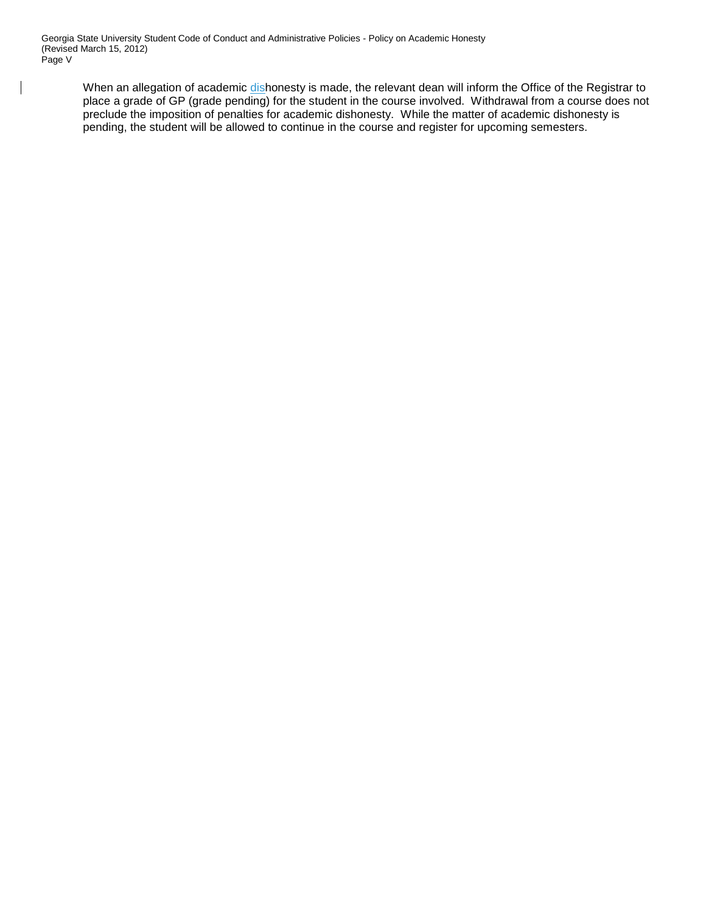$\overline{\phantom{a}}$ 

When an allegation of academic dishonesty is made, the relevant dean will inform the Office of the Registrar to place a grade of GP (grade pending) for the student in the course involved. Withdrawal from a course does not preclude the imposition of penalties for academic dishonesty. While the matter of academic dishonesty is pending, the student will be allowed to continue in the course and register for upcoming semesters.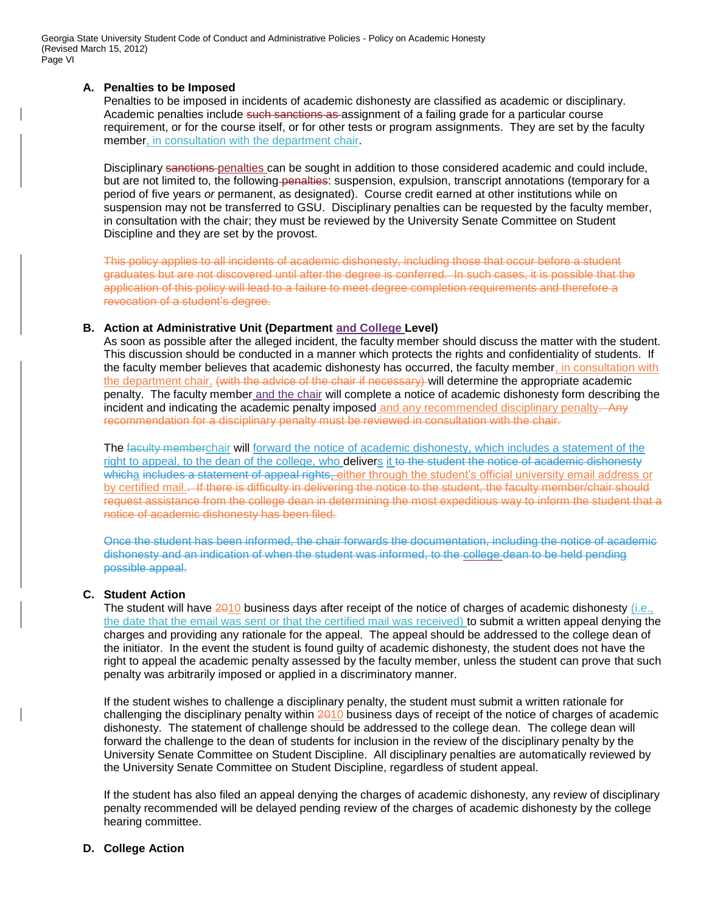Georgia State University Student Code of Conduct and Administrative Policies - Policy on Academic Honesty (Revised March 15, 2012) Page VI

#### **A. Penalties to be Imposed**

Penalties to be imposed in incidents of academic dishonesty are classified as academic or disciplinary. Academic penalties include such sanctions as assignment of a failing grade for a particular course requirement, or for the course itself, or for other tests or program assignments. They are set by the faculty member, in consultation with the department chair.

Disciplinary sanctions penalties can be sought in addition to those considered academic and could include, but are not limited to, the following-penalties: suspension, expulsion, transcript annotations (temporary for a period of five years *or* permanent, as designated). Course credit earned at other institutions while on suspension may not be transferred to GSU. Disciplinary penalties can be requested by the faculty member, in consultation with the chair; they must be reviewed by the University Senate Committee on Student Discipline and they are set by the provost.

This policy applies to all incidents of academic dishonesty, including those that occur before a student graduates but are not discovered until after the degree is conferred. In such cases, it is possible that the application of this policy will lead to a failure to meet degree completion requirements and therefore a revocation of a student's degree.

#### **B. Action at Administrative Unit (Department and College Level)**

As soon as possible after the alleged incident, the faculty member should discuss the matter with the student. This discussion should be conducted in a manner which protects the rights and confidentiality of students. If the faculty member believes that academic dishonesty has occurred, the faculty member, in consultation with the department chair, (with the advice of the chair if necessary) will determine the appropriate academic penalty. The faculty member and the chair will complete a notice of academic dishonesty form describing the incident and indicating the academic penalty imposed and any recommended disciplinary penalty. Any recommendation for a disciplinary penalty must be reviewed in consultation with the chair.

The faculty memberchair will forward the notice of academic dishonesty, which includes a statement of the right to appeal, to the dean of the college, who delivers it to the student the notice of academic dishonesty whicha includes a statement of appeal rights, either through the student's official university email address or by certified mail. If there is difficulty in delivering the notice to the student, the faculty member/chair should request assistance from the college dean in determining the most expeditious way to inform the student that a notice of academic dishonesty has been filed.

Once the student has been informed, the chair forwards the documentation, including the notice of academic dishonesty and an indication of when the student was informed, to the college dean to be held pending possible appeal.

### **C. Student Action**

The student will have 2010 business days after receipt of the notice of charges of academic dishonesty (i.e., the date that the email was sent or that the certified mail was received) to submit a written appeal denying the charges and providing any rationale for the appeal. The appeal should be addressed to the college dean of the initiator. In the event the student is found guilty of academic dishonesty, the student does not have the right to appeal the academic penalty assessed by the faculty member, unless the student can prove that such penalty was arbitrarily imposed or applied in a discriminatory manner.

If the student wishes to challenge a disciplinary penalty, the student must submit a written rationale for challenging the disciplinary penalty within 2010 business days of receipt of the notice of charges of academic dishonesty. The statement of challenge should be addressed to the college dean. The college dean will forward the challenge to the dean of students for inclusion in the review of the disciplinary penalty by the University Senate Committee on Student Discipline. All disciplinary penalties are automatically reviewed by the University Senate Committee on Student Discipline, regardless of student appeal.

If the student has also filed an appeal denying the charges of academic dishonesty, any review of disciplinary penalty recommended will be delayed pending review of the charges of academic dishonesty by the college hearing committee.

#### **D. College Action**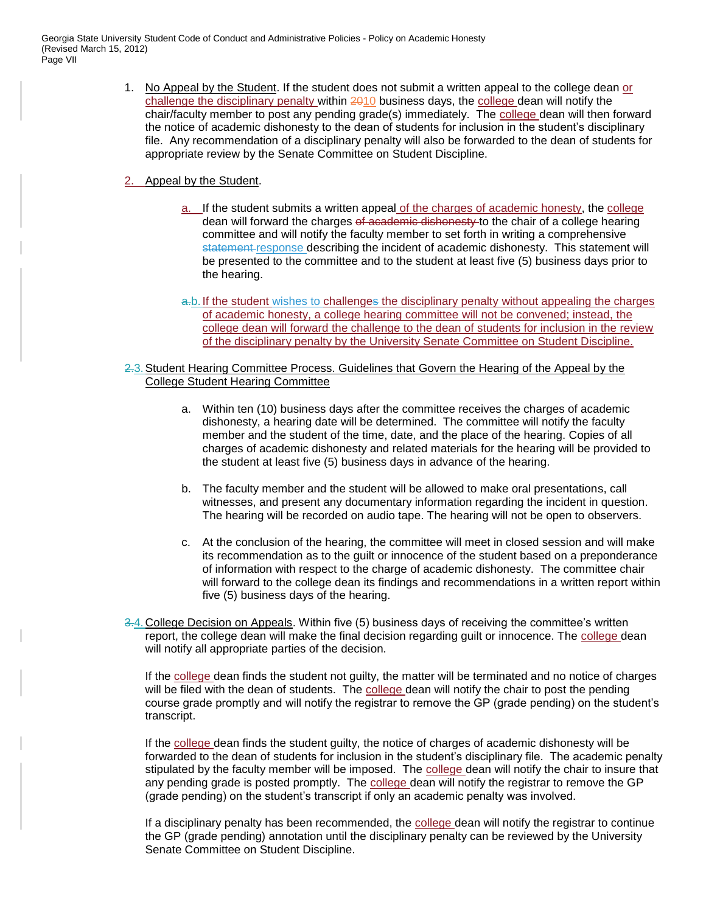Georgia State University Student Code of Conduct and Administrative Policies - Policy on Academic Honesty (Revised March 15, 2012) Page VII

- 1. No Appeal by the Student. If the student does not submit a written appeal to the college dean or challenge the disciplinary penalty within 2010 business days, the college dean will notify the chair/faculty member to post any pending grade(s) immediately. The college dean will then forward the notice of academic dishonesty to the dean of students for inclusion in the student's disciplinary file. Any recommendation of a disciplinary penalty will also be forwarded to the dean of students for appropriate review by the Senate Committee on Student Discipline.
- 2. Appeal by the Student.
	- a. If the student submits a written appeal of the charges of academic honesty, the college dean will forward the charges of academic dishonesty to the chair of a college hearing committee and will notify the faculty member to set forth in writing a comprehensive statement response describing the incident of academic dishonesty. This statement will be presented to the committee and to the student at least five (5) business days prior to the hearing.
	- a.b. If the student wishes to challenges the disciplinary penalty without appealing the charges of academic honesty, a college hearing committee will not be convened; instead, the college dean will forward the challenge to the dean of students for inclusion in the review of the disciplinary penalty by the University Senate Committee on Student Discipline.
- 2.3.Student Hearing Committee Process. Guidelines that Govern the Hearing of the Appeal by the College Student Hearing Committee
	- a. Within ten (10) business days after the committee receives the charges of academic dishonesty, a hearing date will be determined. The committee will notify the faculty member and the student of the time, date, and the place of the hearing. Copies of all charges of academic dishonesty and related materials for the hearing will be provided to the student at least five (5) business days in advance of the hearing.
	- b. The faculty member and the student will be allowed to make oral presentations, call witnesses, and present any documentary information regarding the incident in question. The hearing will be recorded on audio tape. The hearing will not be open to observers.
	- c. At the conclusion of the hearing, the committee will meet in closed session and will make its recommendation as to the guilt or innocence of the student based on a preponderance of information with respect to the charge of academic dishonesty. The committee chair will forward to the college dean its findings and recommendations in a written report within five (5) business days of the hearing.
- 3.4.College Decision on Appeals. Within five (5) business days of receiving the committee's written report, the college dean will make the final decision regarding guilt or innocence. The college dean will notify all appropriate parties of the decision.

If the college dean finds the student not guilty, the matter will be terminated and no notice of charges will be filed with the dean of students. The college dean will notify the chair to post the pending course grade promptly and will notify the registrar to remove the GP (grade pending) on the student's transcript.

If the college dean finds the student guilty, the notice of charges of academic dishonesty will be forwarded to the dean of students for inclusion in the student's disciplinary file. The academic penalty stipulated by the faculty member will be imposed. The college dean will notify the chair to insure that any pending grade is posted promptly. The college dean will notify the registrar to remove the GP (grade pending) on the student's transcript if only an academic penalty was involved.

If a disciplinary penalty has been recommended, the college dean will notify the registrar to continue the GP (grade pending) annotation until the disciplinary penalty can be reviewed by the University Senate Committee on Student Discipline.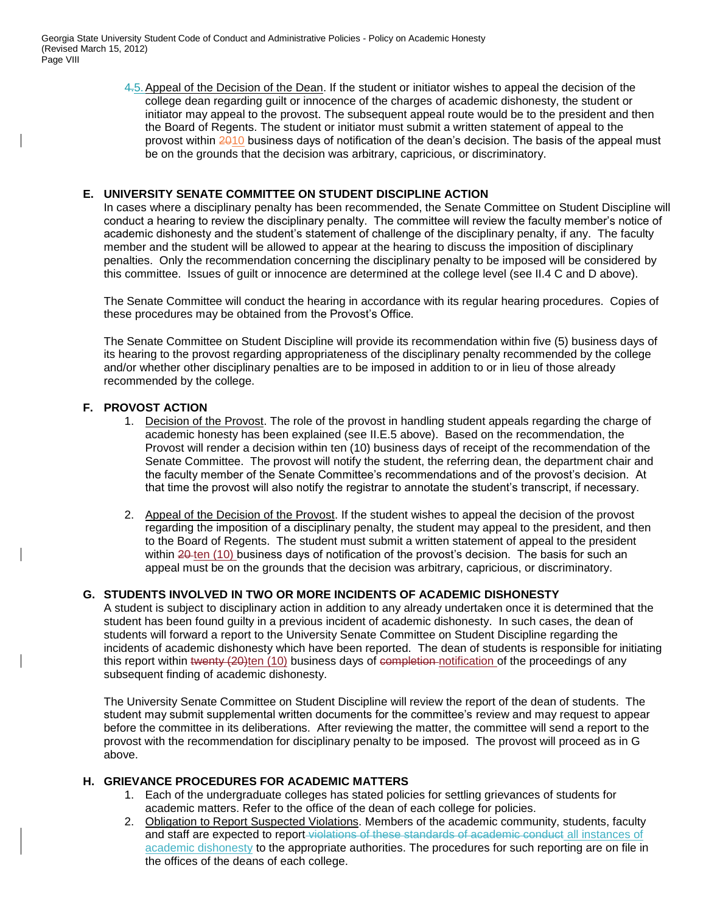4.5.Appeal of the Decision of the Dean. If the student or initiator wishes to appeal the decision of the college dean regarding guilt or innocence of the charges of academic dishonesty, the student or initiator may appeal to the provost. The subsequent appeal route would be to the president and then the Board of Regents. The student or initiator must submit a written statement of appeal to the provost within 2010 business days of notification of the dean's decision. The basis of the appeal must be on the grounds that the decision was arbitrary, capricious, or discriminatory.

# **E. UNIVERSITY SENATE COMMITTEE ON STUDENT DISCIPLINE ACTION**

In cases where a disciplinary penalty has been recommended, the Senate Committee on Student Discipline will conduct a hearing to review the disciplinary penalty. The committee will review the faculty member's notice of academic dishonesty and the student's statement of challenge of the disciplinary penalty, if any. The faculty member and the student will be allowed to appear at the hearing to discuss the imposition of disciplinary penalties. Only the recommendation concerning the disciplinary penalty to be imposed will be considered by this committee. Issues of guilt or innocence are determined at the college level (see II.4 C and D above).

The Senate Committee will conduct the hearing in accordance with its regular hearing procedures. Copies of these procedures may be obtained from the Provost's Office.

The Senate Committee on Student Discipline will provide its recommendation within five (5) business days of its hearing to the provost regarding appropriateness of the disciplinary penalty recommended by the college and/or whether other disciplinary penalties are to be imposed in addition to or in lieu of those already recommended by the college.

# **F. PROVOST ACTION**

- 1. Decision of the Provost. The role of the provost in handling student appeals regarding the charge of academic honesty has been explained (see II.E.5 above). Based on the recommendation, the Provost will render a decision within ten (10) business days of receipt of the recommendation of the Senate Committee. The provost will notify the student, the referring dean, the department chair and the faculty member of the Senate Committee's recommendations and of the provost's decision. At that time the provost will also notify the registrar to annotate the student's transcript, if necessary.
- 2. Appeal of the Decision of the Provost. If the student wishes to appeal the decision of the provost regarding the imposition of a disciplinary penalty, the student may appeal to the president, and then to the Board of Regents. The student must submit a written statement of appeal to the president within 20 ten (10) business days of notification of the provost's decision. The basis for such an appeal must be on the grounds that the decision was arbitrary, capricious, or discriminatory.

# **G. STUDENTS INVOLVED IN TWO OR MORE INCIDENTS OF ACADEMIC DISHONESTY**

A student is subject to disciplinary action in addition to any already undertaken once it is determined that the student has been found guilty in a previous incident of academic dishonesty. In such cases, the dean of students will forward a report to the University Senate Committee on Student Discipline regarding the incidents of academic dishonesty which have been reported. The dean of students is responsible for initiating this report within twenty (20)ten (10) business days of completion notification of the proceedings of any subsequent finding of academic dishonesty.

The University Senate Committee on Student Discipline will review the report of the dean of students. The student may submit supplemental written documents for the committee's review and may request to appear before the committee in its deliberations. After reviewing the matter, the committee will send a report to the provost with the recommendation for disciplinary penalty to be imposed. The provost will proceed as in G above.

# **H. GRIEVANCE PROCEDURES FOR ACADEMIC MATTERS**

- 1. Each of the undergraduate colleges has stated policies for settling grievances of students for academic matters. Refer to the office of the dean of each college for policies.
- 2. Obligation to Report Suspected Violations. Members of the academic community, students, faculty and staff are expected to report-violations of these standards of academic conduct all instances of academic dishonesty to the appropriate authorities. The procedures for such reporting are on file in the offices of the deans of each college.